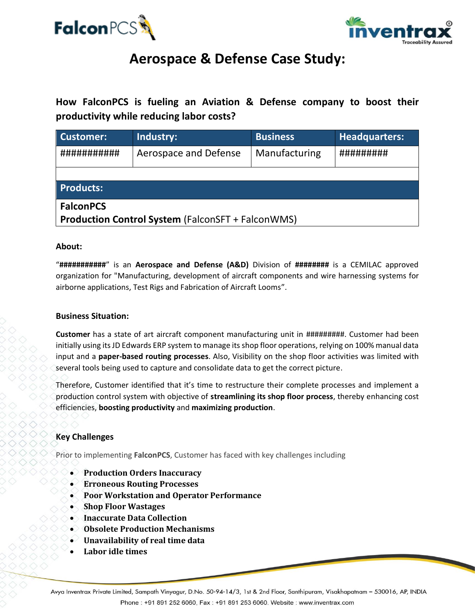



# **Aerospace & Defense Case Study:**

**How FalconPCS is fueling an Aviation & Defense company to boost their productivity while reducing labor costs?**

| Customer:                                                | Industry:             | <b>Business</b> | <b>Headquarters:</b> |
|----------------------------------------------------------|-----------------------|-----------------|----------------------|
| ###########                                              | Aerospace and Defense | Manufacturing   | #########            |
|                                                          |                       |                 |                      |
| <b>Products:</b>                                         |                       |                 |                      |
| <b>FalconPCS</b>                                         |                       |                 |                      |
| <b>Production Control System (FalconSFT + FalconWMS)</b> |                       |                 |                      |

### **About:**

"**###########**" is an **Aerospace and Defense (A&D)** Division of **########** is a CEMILAC approved organization for "Manufacturing, development of aircraft components and wire harnessing systems for airborne applications, Test Rigs and Fabrication of Aircraft Looms".

### **Business Situation:**

**Customer** has a state of art aircraft component manufacturing unit in #########. Customer had been initially using its JD Edwards ERP system to manage its shop floor operations, relying on 100% manual data input and a **paper-based routing processes**. Also, Visibility on the shop floor activities was limited with several tools being used to capture and consolidate data to get the correct picture.

Therefore, Customer identified that it's time to restructure their complete processes and implement a production control system with objective of **streamlining its shop floor process**, thereby enhancing cost efficiencies, **boosting productivity** and **maximizing production**.

# **Key Challenges**

Prior to implementing **FalconPCS**, Customer has faced with key challenges including

- **Production Orders Inaccuracy**
- **Erroneous Routing Processes**
- **Poor Workstation and Operator Performance**
- **Shop Floor Wastages**
- **Inaccurate Data Collection**
- **Obsolete Production Mechanisms**
- **Unavailability of real time data**
- **Labor idle times**

Avya Inventrax Private Limited, Sampath Vinyagur, D.No. 50-94-14/3, 1st & 2nd Floor, Santhipuram, Visakhapatnam – 530016, AP, INDIA Phone: +91 891 252 6060, Fax: +91 891 253 6060. Website: www.inventrax.com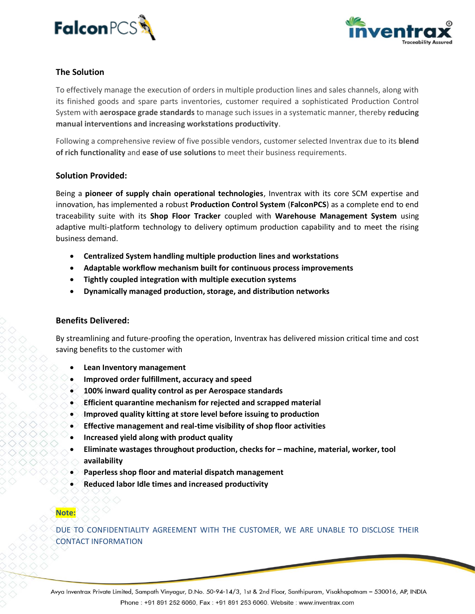



## **The Solution**

To effectively manage the execution of orders in multiple production lines and sales channels, along with its finished goods and spare parts inventories, customer required a sophisticated Production Control System with **aerospace grade standards** to manage such issues in a systematic manner, thereby **reducing manual interventions and increasing workstations productivity**.

Following a comprehensive review of five possible vendors, customer selected Inventrax due to its **blend of rich functionality** and **ease of use solutions** to meet their business requirements.

#### **Solution Provided:**

Being a **pioneer of supply chain operational technologies**, Inventrax with its core SCM expertise and innovation, has implemented a robust **Production Control System** (**FalconPCS**) as a complete end to end traceability suite with its **Shop Floor Tracker** coupled with **Warehouse Management System** using adaptive multi-platform technology to delivery optimum production capability and to meet the rising business demand.

- **Centralized System handling multiple production lines and workstations**
- **Adaptable workflow mechanism built for continuous process improvements**
- **Tightly coupled integration with multiple execution systems**
- **Dynamically managed production, storage, and distribution networks**

#### **Benefits Delivered:**

By streamlining and future-proofing the operation, Inventrax has delivered mission critical time and cost saving benefits to the customer with

- **Lean Inventory management**
- **Improved order fulfillment, accuracy and speed**
- **100% inward quality control as per Aerospace standards**
- **Efficient quarantine mechanism for rejected and scrapped material**
- **Improved quality kitting at store level before issuing to production**
- **Effective management and real-time visibility of shop floor activities**
- **Increased yield along with product quality**
- **Eliminate wastages throughout production, checks for – machine, material, worker, tool availability**
- **Paperless shop floor and material dispatch management**
- **Reduced labor Idle times and increased productivity**

# **Note:**

DUE TO CONFIDENTIALITY AGREEMENT WITH THE CUSTOMER, WE ARE UNABLE TO DISCLOSE THEIR CONTACT INFORMATION

Avya Inventrax Private Limited, Sampath Vinyagur, D.No. 50-94-14/3, 1st & 2nd Floor, Santhipuram, Visakhapatnam – 530016, AP, INDIA Phone: +91 891 252 6060, Fax: +91 891 253 6060. Website: www.inventrax.com